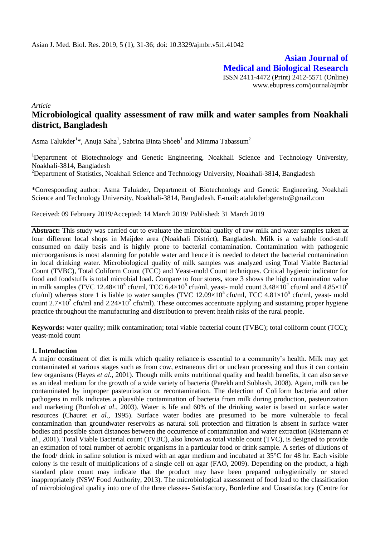**Asian Journal of Medical and Biological Research** ISSN 2411-4472 (Print) 2412-5571 (Online) www.ebupress.com/journal/ajmbr

*Article*

# **Microbiological quality assessment of raw milk and water samples from Noakhali district, Bangladesh**

Asma Talukder<sup>1\*</sup>, Anuja Saha<sup>1</sup>, Sabrina Binta Shoeb<sup>1</sup> and Mimma Tabassum<sup>2</sup>

<sup>1</sup>Department of Biotechnology and Genetic Engineering, Noakhali Science and Technology University, Noakhali-3814, Bangladesh

<sup>2</sup>Department of Statistics, Noakhali Science and Technology University, Noakhali-3814, Bangladesh

\*Corresponding author: Asma Talukder, Department of Biotechnology and Genetic Engineering, Noakhali Science and Technology University, Noakhali-3814, Bangladesh. E-mail: atalukderbgenstu@gmail.com

Received: 09 February 2019/Accepted: 14 March 2019/ Published: 31 March 2019

**Abstract:** This study was carried out to evaluate the microbial quality of raw milk and water samples taken at four different local shops in Maijdee area (Noakhali District), Bangladesh. Milk is a valuable food-stuff consumed on daily basis and is highly prone to bacterial contamination. Contamination with pathogenic microorganisms is most alarming for potable water and hence it is needed to detect the bacterial contamination in local drinking water. Microbiological quality of milk samples was analyzed using Total Viable Bacterial Count (TVBC), Total Coliform Count (TCC) and Yeast-mold Count techniques. Critical hygienic indicator for food and foodstuffs is total microbial load. Compare to four stores, store 3 shows the high contamination value in milk samples (TVC 12.48×10<sup>5</sup> cfu/ml, TCC 6.4×10<sup>5</sup> cfu/ml, yeast- mold count 3.48×10<sup>2</sup> cfu/ml and 4.85×10<sup>2</sup> cfu/ml) whereas store 1 is liable to water samples (TVC  $12.09 \times 10^5$  cfu/ml, TCC  $4.81 \times 10^5$  cfu/ml, yeast- mold count  $2.7 \times 10^2$  cfu/ml and  $2.24 \times 10^2$  cfu/ml). These outcomes accentuate applying and sustaining proper hygiene practice throughout the manufacturing and distribution to prevent health risks of the rural people.

**Keywords:** water quality; milk contamination; total viable bacterial count (TVBC); total coliform count (TCC); yeast-mold count

### **1. Introduction**

A major constituent of diet is milk which [quality reliance](http://www.scialert.net/asci/result.php?searchin=Keywords&cat=&ascicat=ALL&Submit=Search&keyword=quality+assurance) is essential to a community's health. Milk may get contaminated at various stages such as from cow, extraneous dirt or unclean processing and thus it can contain few organisms (Hayes *et al*., 2001). Though milk emits nutritional quality and health benefits, it can also serve as an ideal medium for the growth of a wide variety of bacteria (Parekh and Subhash, 2008). Again, milk can be contaminated by improper pasteurization or recontamination. The detection of Coliform bacteria and other pathogens in milk indicates a plausible contamination of bacteria from milk during production, pasteurization and marketing (Bonfoh *et al*., 2003). Water is life and 60% of the drinking water is based on surface water resources (Chauret *et al*., 1995). Surface water bodies are presumed to be more vulnerable to fecal contamination than groundwater reservoirs as natural soil protection and filtration is absent in surface water bodies and possible short distances between the occurrence of contamination and water extraction (Kistemann *et al*., 2001). Total Viable Bacterial count (TVBC), also known as total viable count (TVC), is designed to provide an estimation of total number of aerobic organisms in a particular food or drink sample. A series of dilutions of the food/ drink in saline solution is mixed with an agar medium and incubated at 35°C for 48 hr. Each visible colony is the result of multiplications of a single cell on agar (FAO, 2009). Depending on the product, a high standard plate count may indicate that the product may have been prepared unhygienically or stored inappropriately (NSW Food Authority, 2013). The microbiological assessment of food lead to the classification of microbiological quality into one of the three classes- Satisfactory, Borderline and Unsatisfactory (Centre for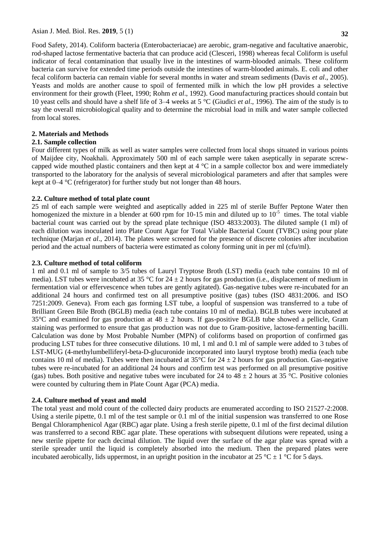**32**

Food Safety, 2014). Coliform bacteria (Enterobacteriacae) are aerobic, gram-negative and facultative anaerobic, rod-shaped lactose fermentative bacteria that can produce acid (Clesceri, 1998) whereas fecal Coliform is useful indicator of fecal contamination that usually live in the intestines of warm-blooded animals. These coliform bacteria can survive for extended time periods outside the intestines of warm-blooded animals. E. coli and other fecal coliform bacteria can remain viable for several months in water and stream sediments (Davis *et al*., 2005). Yeasts and molds are another cause to spoil of fermented milk in which the low pH provides a selective environment for their growth (Fleet, 1990; Rohm *et al*., 1992). Good manufacturing practices should contain but 10 yeast cells and should have a shelf life of 3–4 weeks at 5 °C (Giudici *et al*., 1996). The aim of the study is to say the overall microbiological quality and to determine the microbial load in milk and water sample collected from local stores.

# **2. Materials and Methods**

# **2.1. Sample collection**

Four different types of milk as well as water samples were collected from local shops situated in various points of Maijdee city, Noakhali. Approximately 500 ml of each sample were taken aseptically in separate screwcapped wide mouthed plastic containers and then kept at  $4^{\circ}$ C in a sample collector box and were immediately transported to the laboratory for the analysis of several microbiological parameters and after that samples were kept at 0–4 °C (refrigerator) for further study but not longer than 48 hours.

# **2.2. Culture method of total plate count**

25 ml of each sample were weighted and aseptically added in 225 ml of sterile Buffer Peptone Water then homogenized the mixture in a blender at 600 rpm for 10-15 min and diluted up to  $10^{-5}$  times. The total viable bacterial count was carried out by the spread plate technique (ISO 4833:2003). The diluted sample (1 ml) of each dilution was inoculated into Plate Count Agar for Total Viable Bacterial Count (TVBC) using pour plate technique (Marjan *et al*., 2014). The plates were screened for the presence of discrete colonies after incubation period and the actual numbers of bacteria were estimated as colony forming unit in per ml (cfu/ml).

# **2.3. Culture method of total coliform**

1 ml and 0.1 ml of sample to 3/5 tubes of Lauryl Tryptose Broth (LST) media (each tube contains 10 ml of media). LST tubes were incubated at 35 °C for 24  $\pm$  2 hours for gas production (i.e., displacement of medium in fermentation vial or effervescence when tubes are gently agitated). Gas-negative tubes were re-incubated for an additional 24 hours and confirmed test on all presumptive positive (gas) tubes (ISO 4831:2006. and ISO 7251:2009. Geneva). From each gas forming LST tube, a loopful of suspension was transferred to a tube of Brilliant Green Bile Broth (BGLB) media (each tube contains 10 ml of media). BGLB tubes were incubated at 35 $\degree$ C and examined for gas production at 48  $\pm$  2 hours. If gas-positive BGLB tube showed a pellicle, Gram staining was performed to ensure that gas production was not due to Gram-positive, lactose-fermenting bacilli. Calculation was done by Most Probable Number (MPN) of coliforms based on proportion of confirmed gas producing LST tubes for three consecutive dilutions. 10 ml, 1 ml and 0.1 ml of sample were added to 3 tubes of LST-MUG (4-methylumbelliferyl-beta-D-glucuronide incorporated into lauryl tryptose broth) media (each tube contains 10 ml of media). Tubes were then incubated at 35 $\degree$ C for 24  $\pm$  2 hours for gas production. Gas-negative tubes were re-incubated for an additional 24 hours and confirm test was performed on all presumptive positive (gas) tubes. Both positive and negative tubes were incubated for 24 to 48  $\pm$  2 hours at 35 °C. Positive colonies were counted by culturing them in Plate Count Agar (PCA) media.

# **2.4. Culture method of yeast and mold**

The total yeast and mold count of the collected dairy products are enumerated according to ISO 21527-2:2008. Using a sterile pipette, 0.1 ml of the test sample or 0.1 ml of the initial suspension was transferred to one Rose Bengal Chloramphenicol Agar (RBC) agar plate. Using a fresh sterile pipette, 0.1 ml of the first decimal dilution was transferred to a second RBC agar plate. These operations with subsequent dilutions were repeated, using a new sterile pipette for each decimal dilution. The liquid over the surface of the agar plate was spread with a sterile spreader until the liquid is completely absorbed into the medium. Then the prepared plates were incubated aerobically, lids uppermost, in an upright position in the incubator at 25 °C  $\pm$  1 °C for 5 days.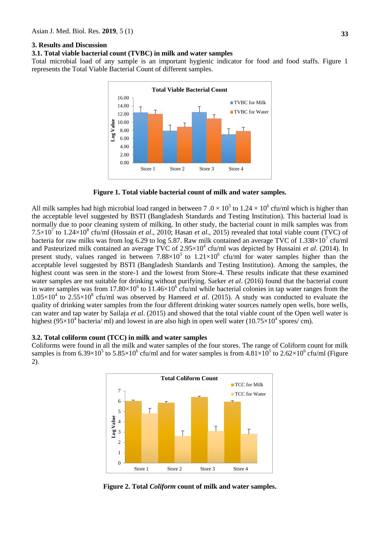### **3. Results and Discussion**

### **3.1. Total viable bacterial count (TVBC) in milk and water samples**

Total microbial load of any sample is an important hygienic indicator for food and food staffs. Figure 1 represents the Total Viable Bacterial Count of different samples.



**Figure 1. Total viable bacterial count of milk and water samples.**

All milk samples had high microbial load ranged in between  $7.0 \times 10^5$  to  $1.24 \times 10^6$  cfu/ml which is higher than the acceptable level suggested by BSTI (Bangladesh Standards and Testing Institution). This bacterial load is normally due to poor cleaning system of milking. In other study, the bacterial count in milk samples was from  $7.5 \times 10^7$  to  $1.24 \times 10^8$  cfu/ml (Hossain *et al.*, 2010; Hasan *et al.*, 2015) revealed that total viable count (TVC) of bacteria for raw milks was from log 6.29 to log 5.87. Raw milk contained an average TVC of  $1.338\times10^{7}$  cfu/ml and Pasteurized milk contained an average TVC of 2.95×10<sup>4</sup> cfu/ml was depicted by Hussaini *et al.* (2014). In present study, values ranged in between  $7.88 \times 10^5$  to  $1.21 \times 10^6$  cfu/ml for water samples higher than the acceptable level suggested by BSTI (Bangladesh Standards and Testing Institution). Among the samples, the highest count was seen in the store-1 and the lowest from Store-4. These results indicate that these examined water samples are not suitable for drinking without purifying. Sarker *et al*. (2016) found that the bacterial count in water samples was from 17.80 $\times$ 10<sup>6</sup> to 11.46 $\times$ 10<sup>6</sup> cfu/ml while bacterial colonies in tap water ranges from the  $1.05 \times 10^4$  to  $2.55 \times 10^8$  cfu/ml was observed by Hameed *et al.* (2015). A study was conducted to evaluate the quality of drinking water samples from the four different drinking water sources namely open wells, bore wells, can water and tap water by Sailaja *et al*. (2015) and showed that the total viable count of the Open well water is highest (95×10<sup>4</sup> bacteria/ ml) and lowest in are also high in open well water (10.75×10<sup>4</sup> spores/ cm).

#### **3.2. Total coliform count (TCC) in milk and water samples**

Coliforms were found in all the milk and water samples of the four stores. The range of Coliform count for milk samples is from 6.39×10<sup>5</sup> to 5.85×10<sup>6</sup> cfu/ml and for water samples is from  $4.81\times10^5$  to 2.62×10<sup>6</sup> cfu/ml (Figure 2).



**Figure 2. Total** *Coliform* **count of milk and water samples.**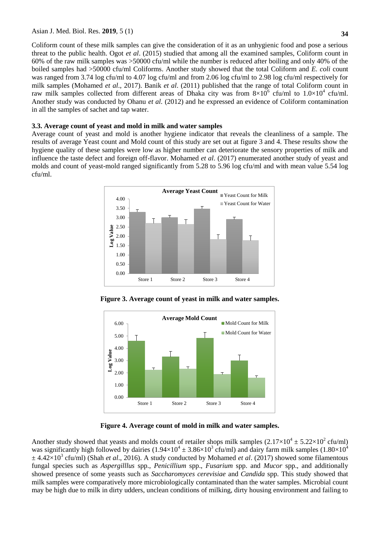Coliform count of these milk samples can give the consideration of it as an unhygienic food and pose a serious threat to the public health. Ogot *et al*. (2015) studied that among all the examined samples, Coliform count in 60% of the raw milk samples was >50000 cfu/ml while the number is reduced after boiling and only 40% of the boiled samples had >50000 cfu/ml Coliforms. Another study showed that the total Coliform and *E. coli* count was ranged from 3.74 log cfu/ml to 4.07 log cfu/ml and from 2.06 log cfu/ml to 2.98 log cfu/ml respectively for milk samples (Mohamed *et al*., 2017). Banik *et al*. (2011) published that the range of total Coliform count in raw milk samples collected from different areas of Dhaka city was from  $8\times10^6$  cfu/ml to  $1.0\times10^4$  cfu/ml. Another study was conducted by Ohanu *et al.* (2012) and he expressed an evidence of Coliform contamination in all the samples of sachet and tap water.

### **3.3. Average count of yeast and mold in milk and water samples**

Average count of yeast and mold is another hygiene indicator that reveals the cleanliness of a sample. The results of average Yeast count and Mold count of this study are set out at figure 3 and 4. These results show the hygiene quality of these samples were low as higher number can deteriorate the sensory properties of milk and influence the taste defect and foreign off-flavor. Mohamed *et al*. (2017) enumerated another study of yeast and molds and count of yeast-mold ranged significantly from 5.28 to 5.96 log cfu/ml and with mean value 5.54 log cfu/ml.



**Figure 3. Average count of yeast in milk and water samples.**



**Figure 4. Average count of mold in milk and water samples.**

Another study showed that yeasts and molds count of retailer shops milk samples  $(2.17 \times 10^4 \pm 5.22 \times 10^2 \text{ cftl/ml})$ was significantly high followed by dairies  $(1.94\times10^4 \pm 3.86\times10^3 \text{ cftt/ml})$  and dairy farm milk samples  $(1.80\times10^4 \text{ s})$  $\pm$  4.42×10<sup>3</sup> cfu/ml) (Shah *et al.*, 2016). A study conducted by Mohamed *et al.* (2017) showed some filamentous fungal species such as *Aspergilllus* spp., *Penicillium* spp., *Fusarium* spp. and *Mucor* spp., and additionally showed presence of some yeasts such as *Saccharomyces cerevisiae* and *Candida* spp. This study showed that milk samples were comparatively more microbiologically contaminated than the water samples. Microbial count may be high due to milk in dirty udders, unclean conditions of milking, dirty housing environment and failing to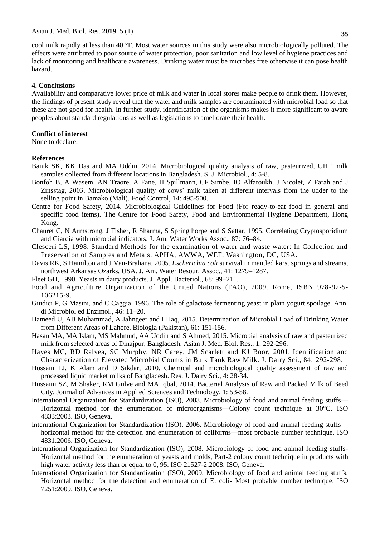cool milk rapidly at less than 40 °F. Most water sources in this study were also microbiologically polluted. The effects were attributed to poor source of water protection, poor sanitation and low level of hygiene practices and lack of monitoring and healthcare awareness. Drinking water must be microbes free otherwise it can pose health hazard.

#### **4. Conclusions**

Availability and comparative lower price of milk and water in local stores make people to drink them. However, the findings of present study reveal that the water and milk samples are contaminated with microbial load so that these are not good for health. In further study, identification of the organisms makes it more significant to aware peoples about standard regulations as well as legislations to ameliorate their health.

### **Conflict of interest**

None to declare.

### **References**

- Banik SK, KK Das and MA Uddin, 2014. Microbiological quality analysis of raw, pasteurized, UHT milk samples collected from different locations in Bangladesh. S. J. Microbiol., 4: 5-8.
- Bonfoh B, A Wasem, AN Traore, A Fane, H Spillmann, CF Simbe, IO Alfaroukh, J Nicolet, Z Farah and J Zinsstag, 2003. Microbiological quality of cows' milk taken at different intervals from the udder to the selling point in Bamako (Mali). Food Control, 14: 495-500.
- Centre for Food Safety, 2014. Microbiological Guidelines for Food (For ready-to-eat food in general and specific food items). The Centre for Food Safety, Food and Environmental Hygiene Department, Hong Kong.
- Chauret C, N Armstrong, J Fisher, R Sharma, S Springthorpe and S Sattar, 1995. Correlating Cryptosporidium and Giardia with microbial indicators. J. Am. Water Works Assoc., 87: 76–84.
- Clesceri LS, 1998. Standard Methods for the examination of water and waste water: In Collection and Preservation of Samples and Metals. APHA, AWWA, WEF, Washington, DC, USA.
- Davis RK, S Hamilton and J Van-Brahana, 2005. *Escherichia coli* survival in mantled karst springs and streams, northwest Arkansas Ozarks, USA. J. Am. Water Resour. Assoc., 41: 1279–1287.
- Fleet GH, 1990. Yeasts in dairy products. J. Appl. Bacteriol., 68: 99–211.
- Food and Agriculture Organization of the United Nations (FAO), 2009. Rome, ISBN 978-92-5- 106215-9.
- Giudici P, G Masini, and C Caggia, 1996. The role of galactose fermenting yeast in plain yogurt spoilage. Ann. di Microbiol ed Enzimol., 46: 11–20.
- Hameed U, AB Muhammad, A Jahngeer and I Haq, 2015. Determination of Microbial Load of Drinking Water from Different Areas of Lahore. Biologia (Pakistan), 61: 151-156.
- Hasan MA, MA Islam, MS Mahmud, AA Uddin and S Ahmed, 2015. Microbial analysis of raw and pasteurized milk from selected areas of Dinajpur, Bangladesh. Asian J. Med. Biol. Res., 1: 292-296.
- Hayes MC, RD Ralyea, SC Murphy, NR Carey, JM Scarlett and KJ Boor, 2001. Identification and Characterization of Elevated Microbial Counts in Bulk Tank Raw Milk. J. Dairy Sci., 84: 292-298.
- Hossain TJ, K Alam and D Sikdar, 2010. Chemical and microbiological quality assessment of raw and processed liquid market milks of Bangladesh. Res. J. Dairy Sci., 4: 28-34.
- Hussaini SZ, M Shaker, RM Gulve and MA Iqbal, 2014. Bacterial Analysis of Raw and Packed Milk of Beed City. Journal of Advances in Applied Sciences and Technology, 1: 53-58.
- International Organization for Standardization (ISO), 2003. Microbiology of food and animal feeding stuffs— Horizontal method for the enumeration of microorganisms—Colony count technique at 30°C. ISO 4833:2003. ISO, Geneva.
- International Organization for Standardization (ISO), 2006. Microbiology of food and animal feeding stuffs horizontal method for the detection and enumeration of coliforms—most probable number technique. ISO 4831:2006. ISO, Geneva.
- International Organization for Standardization (ISO), 2008. Microbiology of food and animal feeding stuffs-Horizontal method for the enumeration of yeasts and molds, Part-2 colony count technique in products with high water activity less than or equal to 0, 95. ISO 21527-2:2008. ISO, Geneva.
- International Organization for Standardization (ISO), 2009. Microbiology of food and animal feeding stuffs. Horizontal method for the detection and enumeration of E. coli- Most probable number technique. ISO 7251:2009. ISO, Geneva.